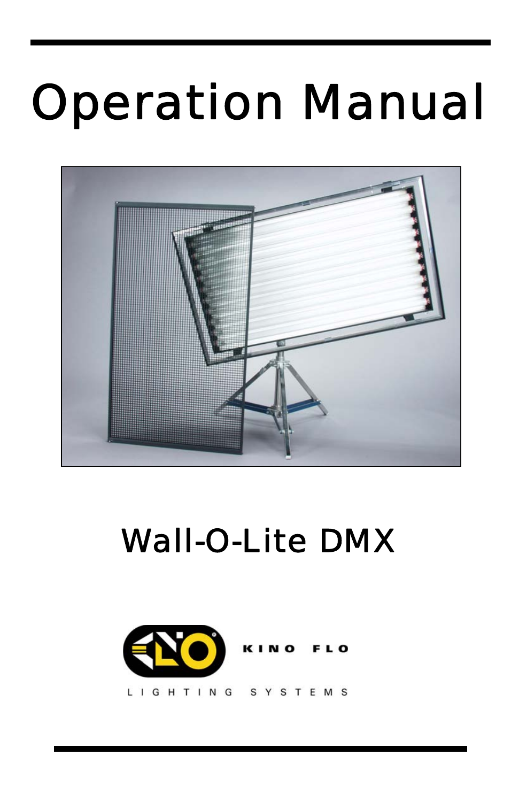# Operation Manual

I



# Wall-O-Lite DMX

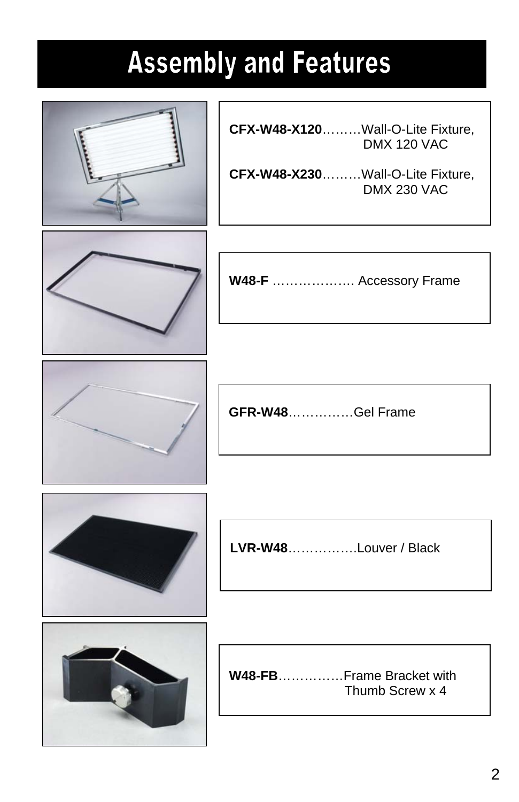### **Assembly and Features**

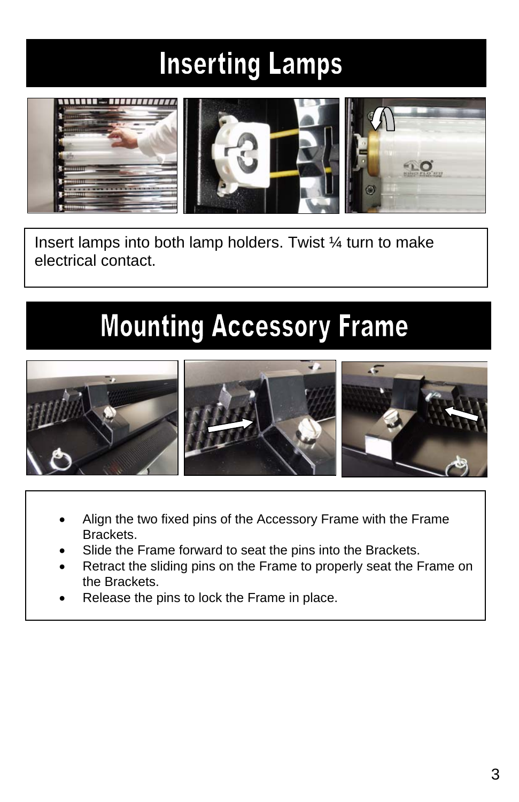### **Inserting Lamps**



Insert lamps into both lamp holders. Twist ¼ turn to make electrical contact.

#### **Mounting Accessory Frame**



- Align the two fixed pins of the Accessory Frame with the Frame Brackets.
- Slide the Frame forward to seat the pins into the Brackets.
- Retract the sliding pins on the Frame to properly seat the Frame on the Brackets.
- Release the pins to lock the Frame in place.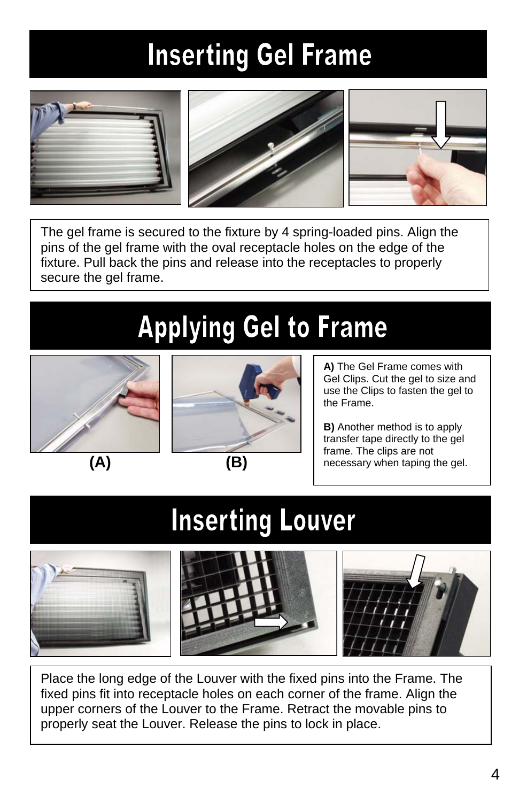### **Inserting Gel Frame**



The gel frame is secured to the fixture by 4 spring-loaded pins. Align the pins of the gel frame with the oval receptacle holes on the edge of the fixture. Pull back the pins and release into the receptacles to properly secure the gel frame.

### **Applying Gel to Frame**





**A)** The Gel Frame comes with Gel Clips. Cut the gel to size and use the Clips to fasten the gel to the Frame.

**B)** Another method is to apply transfer tape directly to the gel frame. The clips are not necessary when taping the gel.

#### **Inserting Louver**



Place the long edge of the Louver with the fixed pins into the Frame. The fixed pins fit into receptacle holes on each corner of the frame. Align the upper corners of the Louver to the Frame. Retract the movable pins to properly seat the Louver. Release the pins to lock in place.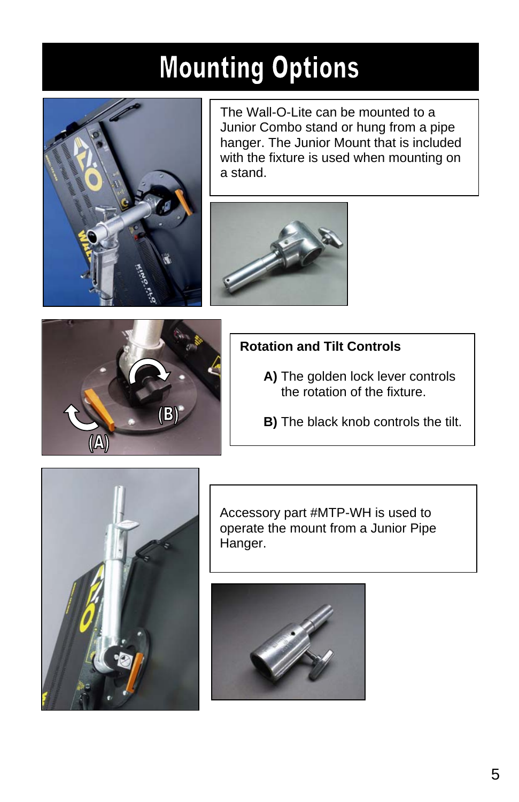### **Mounting Options**



The Wall-O-Lite can be mounted to a Junior Combo stand or hung from a pipe hanger. The Junior Mount that is included with the fixture is used when mounting on a stand.





#### **Rotation and Tilt Controls**

- **A)** The golden lock lever controls the rotation of the fixture.
- **B)** The black knob controls the tilt.



Accessory part #MTP-WH is used to operate the mount from a Junior Pipe Hanger.

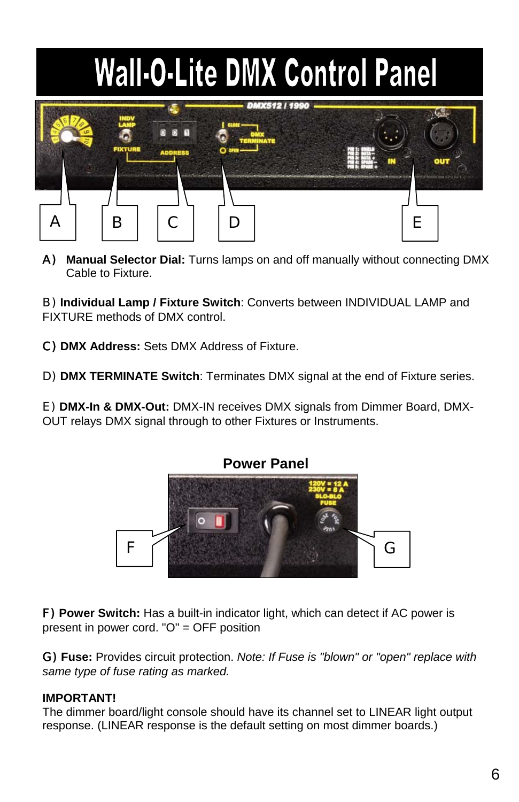# **Wall-O-Lite DMX Control Panel**



A) **Manual Selector Dial:** Turns lamps on and off manually without connecting DMX Cable to Fixture.

B) **Individual Lamp / Fixture Switch**: Converts between INDIVIDUAL LAMP and FIXTURE methods of DMX control.

C) **DMX Address:** Sets DMX Address of Fixture.

D) **DMX TERMINATE Switch**: Terminates DMX signal at the end of Fixture series.

E) **DMX-In & DMX-Out:** DMX-IN receives DMX signals from Dimmer Board, DMX-OUT relays DMX signal through to other Fixtures or Instruments.



F) **Power Switch:** Has a built-in indicator light, which can detect if AC power is present in power cord. "O" = OFF position

G) **Fuse:** Provides circuit protection. *Note: If Fuse is "blown" or "open" replace with same type of fuse rating as marked.*

#### **IMPORTANT!**

The dimmer board/light console should have its channel set to LINEAR light output response. (LINEAR response is the default setting on most dimmer boards.)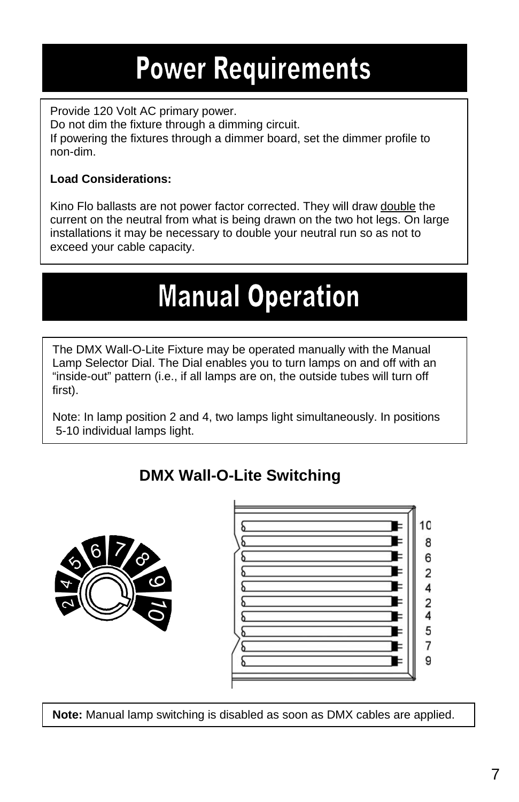### **Power Requirements**

Provide 120 Volt AC primary power. Do not dim the fixture through a dimming circuit. If powering the fixtures through a dimmer board, set the dimmer profile to non-dim.

#### **Load Considerations:**

Kino Flo ballasts are not power factor corrected. They will draw double the current on the neutral from what is being drawn on the two hot legs. On large installations it may be necessary to double your neutral run so as not to exceed your cable capacity.

### **Manual Operation**

The DMX Wall-O-Lite Fixture may be operated manually with the Manual Lamp Selector Dial. The Dial enables you to turn lamps on and off with an "inside-out" pattern (i.e., if all lamps are on, the outside tubes will turn off first).

Note: In lamp position 2 and 4, two lamps light simultaneously. In positions 5-10 individual lamps light.

#### **DMX Wall-O-Lite Switching**





**Note:** Manual lamp switching is disabled as soon as DMX cables are applied.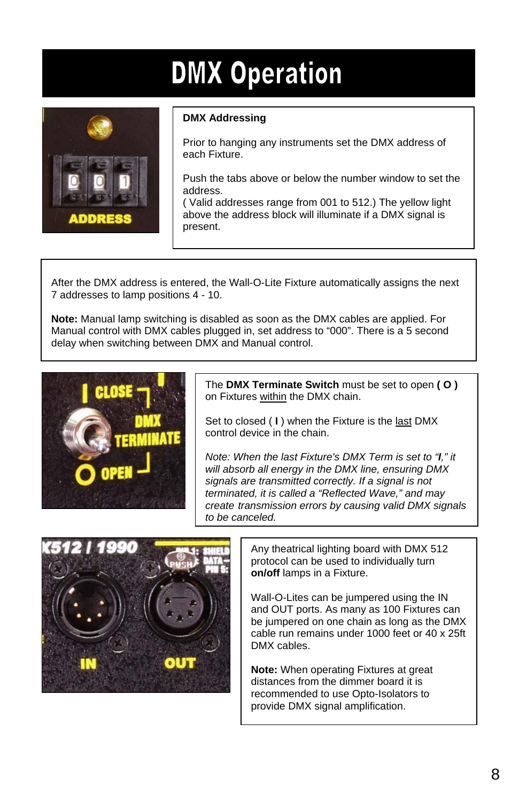### **DMX Operation**



#### **DMX Addressing**

Prior to hanging any instruments set the DMX address of each Fixture.

Push the tabs above or below the number window to set the address.

( Valid addresses range from 001 to 512.) The yellow light above the address block will illuminate if a DMX signal is present.

After the DMX address is entered, the Wall-O-Lite Fixture automatically assigns the next 7 addresses to lamp positions 4 - 10.

**Note:** Manual lamp switching is disabled as soon as the DMX cables are applied. For Manual control with DMX cables plugged in, set address to "000". There is a 5 second delay when switching between DMX and Manual control.



The **DMX Terminate Switch** must be set to open **( O )**  on Fixtures within the DMX chain.

Set to closed ( **I** ) when the Fixture is the last DMX control device in the chain.

*Note: When the last Fixture's DMX Term is set to "I," it will absorb all energy in the DMX line, ensuring DMX signals are transmitted correctly. If a signal is not terminated, it is called a "Reflected Wave," and may create transmission errors by causing valid DMX signals to be canceled.*



Any theatrical lighting board with DMX 512 protocol can be used to individually turn **on/off** lamps in a Fixture.

Wall-O-Lites can be jumpered using the IN and OUT ports. As many as 100 Fixtures can be jumpered on one chain as long as the DMX cable run remains under 1000 feet or 40 x 25ft DMX cables.

**Note:** When operating Fixtures at great distances from the dimmer board it is recommended to use Opto-Isolators to provide DMX signal amplification.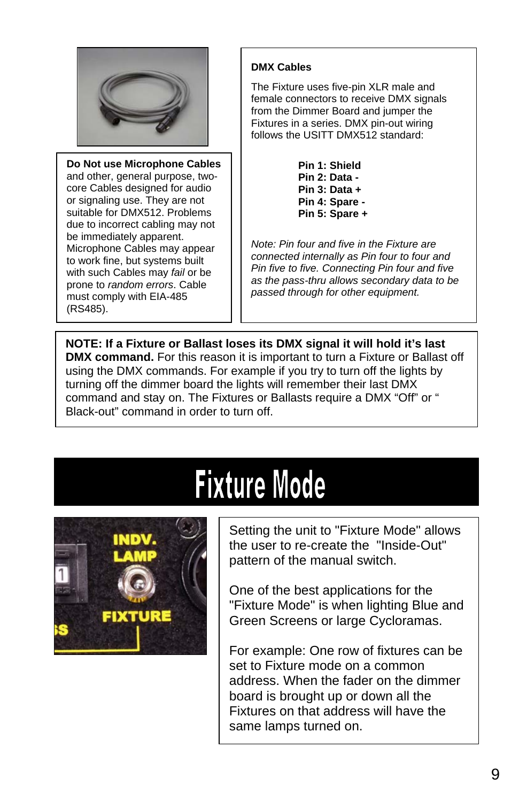

**Do Not use Microphone Cables** and other, general purpose, twocore Cables designed for audio or signaling use. They are not suitable for DMX512. Problems due to incorrect cabling may not be immediately apparent. Microphone Cables may appear to work fine, but systems built with such Cables may *fail* or be prone to *random errors*. Cable must comply with EIA-485 (RS485).

#### **DMX Cables**

The Fixture uses five-pin XLR male and female connectors to receive DMX signals from the Dimmer Board and jumper the Fixtures in a series. DMX pin-out wiring follows the USITT DMX512 standard:

> **Pin 1: Shield Pin 2: Data - Pin 3: Data + Pin 4: Spare - Pin 5: Spare +**

*Note: Pin four and five in the Fixture are connected internally as Pin four to four and Pin five to five. Connecting Pin four and five as the pass-thru allows secondary data to be passed through for other equipment.*

**NOTE: If a Fixture or Ballast loses its DMX signal it will hold it's last DMX command.** For this reason it is important to turn a Fixture or Ballast off using the DMX commands. For example if you try to turn off the lights by turning off the dimmer board the lights will remember their last DMX command and stay on. The Fixtures or Ballasts require a DMX "Off" or " Black-out" command in order to turn off.

## **Fixture Mode**



Setting the unit to "Fixture Mode" allows the user to re-create the "Inside-Out" pattern of the manual switch.

One of the best applications for the "Fixture Mode" is when lighting Blue and Green Screens or large Cycloramas.

For example: One row of fixtures can be set to Fixture mode on a common address. When the fader on the dimmer board is brought up or down all the Fixtures on that address will have the same lamps turned on.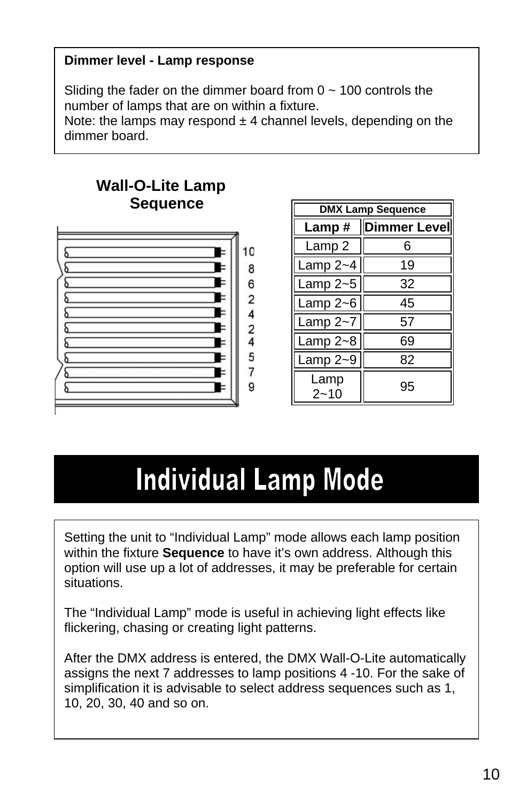#### **Dimmer level - Lamp response**

Sliding the fader on the dimmer board from  $0 \sim 100$  controls the number of lamps that are on within a fixture.

Note: the lamps may respond  $\pm$  4 channel levels, depending on the dimmer board.



| <b>DMX Lamp Sequence</b> |                      |  |  |
|--------------------------|----------------------|--|--|
|                          | Lamp #  Dimmer Level |  |  |
| Lamp 2                   | 6                    |  |  |
| Lamp $2 - 4$             | 19                   |  |  |
| Lamp $2 - 5$             | 32                   |  |  |
| Lamp $2 - 6$             | 45                   |  |  |
| Lamp $2 - 7$             | 57                   |  |  |
| Lamp $2 - 8$             | 69                   |  |  |
| Lamp $2 - 9$             | 82                   |  |  |
| Lamp<br>2~10             | 95                   |  |  |

#### **Individual Lamp Mode**

Setting the unit to "Individual Lamp" mode allows each lamp position within the fixture **Sequence** to have it's own address. Although this option will use up a lot of addresses, it may be preferable for certain situations.

The "Individual Lamp" mode is useful in achieving light effects like flickering, chasing or creating light patterns.

After the DMX address is entered, the DMX Wall-O-Lite automatically assigns the next 7 addresses to lamp positions 4 -10. For the sake of simplification it is advisable to select address sequences such as 1, 10, 20, 30, 40 and so on.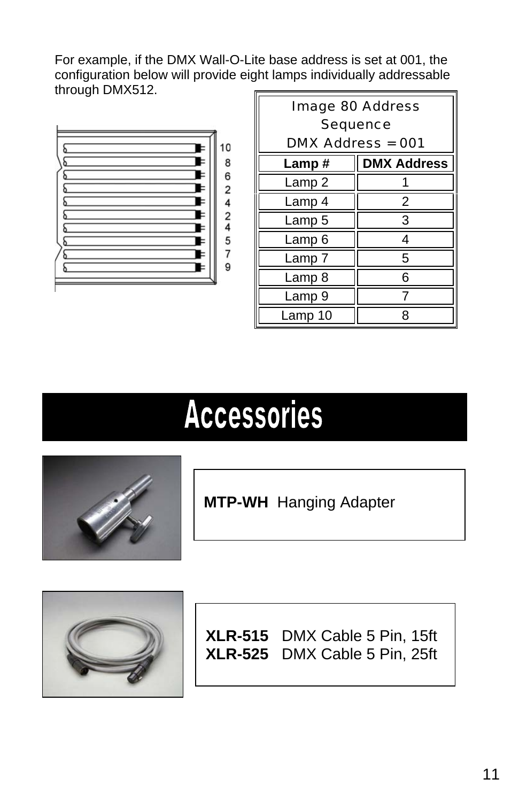For example, if the DMX Wall-O-Lite base address is set at 001, the configuration below will provide eight lamps individually addressable through DMX512.



| <b>Image 80 Address</b><br>Sequence |                    |  |  |  |
|-------------------------------------|--------------------|--|--|--|
| $DMX$ Address = 001                 |                    |  |  |  |
| Lamp#                               | <b>DMX Address</b> |  |  |  |
| Lamp <sub>2</sub>                   |                    |  |  |  |
| Lamp 4                              | 2                  |  |  |  |
| Lamp 5                              | 3                  |  |  |  |
| Lamp 6                              | 4                  |  |  |  |
| Lamp 7                              | 5                  |  |  |  |
| Lamp 8                              | 6                  |  |  |  |
| Lamp 9                              |                    |  |  |  |
| Lamp 10                             | ጸ                  |  |  |  |

### **Accessories**



**MTP-WH** Hanging Adapter



**XLR-515** DMX Cable 5 Pin, 15ft **XLR-525** DMX Cable 5 Pin, 25ft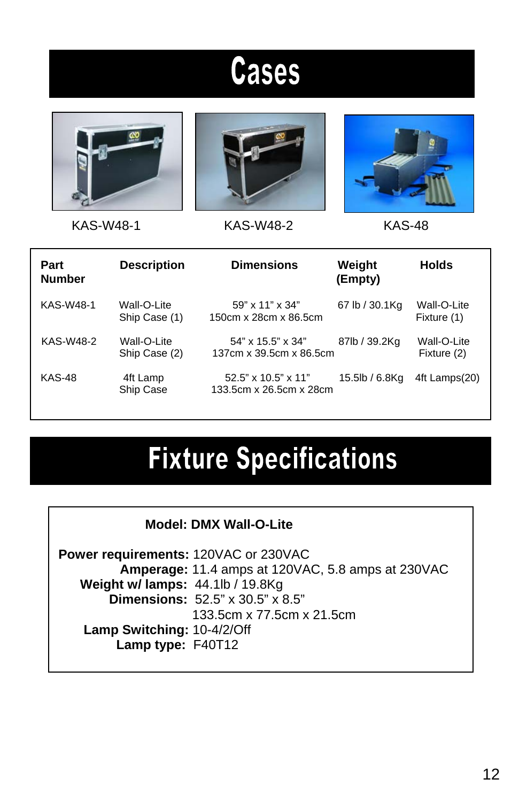### **Cases**







KAS-W48-1 KAS-W48-2 KAS-48

| Part<br><b>Number</b> | <b>Description</b>           | <b>Dimensions</b>                                          | Weight<br>(Empty) | <b>Holds</b>               |
|-----------------------|------------------------------|------------------------------------------------------------|-------------------|----------------------------|
| KAS-W48-1             | Wall-O-Lite<br>Ship Case (1) | $59" \times 11" \times 34"$<br>150cm x 28cm x 86.5cm       | 67 lb / 30.1Kg    | Wall-O-Lite<br>Fixture (1) |
| KAS-W48-2             | Wall-O-Lite<br>Ship Case (2) | $54"$ x $15.5"$ x $34"$<br>137cm x 39.5cm x 86.5cm         | 87lb / 39.2Kg     | Wall-O-Lite<br>Fixture (2) |
| <b>KAS-48</b>         | 4ft Lamp<br>Ship Case        | $52.5" \times 10.5" \times 11"$<br>133.5cm x 26.5cm x 28cm | 15.5lb / 6.8Kg    | 4ft Lamps(20)              |

#### **Fixture Specifications**

|  | <b>Model: DMX Wall-O-Lite</b> |  |
|--|-------------------------------|--|
|  |                               |  |

**Power requirements:** 120VAC or 230VAC  **Amperage:** 11.4 amps at 120VAC, 5.8 amps at 230VAC  **Weight w/ lamps:** 44.1lb / 19.8Kg  **Dimensions:** 52.5" x 30.5" x 8.5" 133.5cm x 77.5cm x 21.5cm  **Lamp Switching:** 10-4/2/Off  **Lamp type:** F40T12